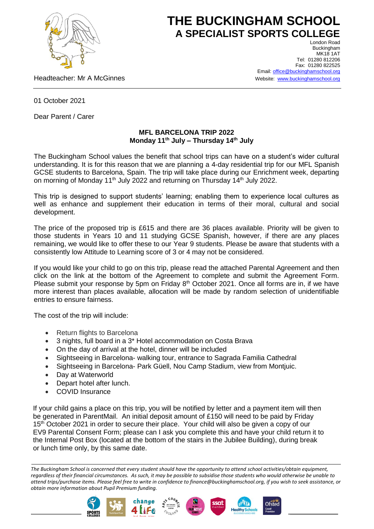

## **THE BUCKINGHAM SCHOOL A SPECIALIST SPORTS COLLEGE**

Headteacher: Mr A McGinnes

London Road Buckingham **MK18 1AT** Tel: 01280 812206 Fax: 01280 822525 Email[: office@buckinghamschool.org](mailto:office@buckinghamschool.org) Website: [www.buckinghamschool.org](http://www.buckinghamschool.org/)

01 October 2021

Dear Parent / Carer

## **MFL BARCELONA TRIP 2022 Monday 11th July – Thursday 14th July**

The Buckingham School values the benefit that school trips can have on a student's wider cultural understanding. It is for this reason that we are planning a 4-day residential trip for our MFL Spanish GCSE students to Barcelona, Spain. The trip will take place during our Enrichment week, departing on morning of Monday 11<sup>th</sup> July 2022 and returning on Thursday 14<sup>th</sup> July 2022.

This trip is designed to support students' learning; enabling them to experience local cultures as well as enhance and supplement their education in terms of their moral, cultural and social development.

The price of the proposed trip is £615 and there are 36 places available. Priority will be given to those students in Years 10 and 11 studying GCSE Spanish, however, if there are any places remaining, we would like to offer these to our Year 9 students. Please be aware that students with a consistently low Attitude to Learning score of 3 or 4 may not be considered.

If you would like your child to go on this trip, please read the attached Parental Agreement and then click on the link at the bottom of the Agreement to complete and submit the Agreement Form. Please submit your response by 5pm on Friday 8<sup>th</sup> October 2021. Once all forms are in, if we have more interest than places available, allocation will be made by random selection of unidentifiable entries to ensure fairness.

The cost of the trip will include:

- Return flights to Barcelona
- 3 nights, full board in a 3\* Hotel accommodation on Costa Brava
- On the day of arrival at the hotel, dinner will be included
- Sightseeing in Barcelona- walking tour, entrance to Sagrada Familia Cathedral
- Sightseeing in Barcelona- Park Güell, Nou Camp Stadium, view from Montjuic.
- Day at Waterworld
- Depart hotel after lunch.
- COVID Insurance

If your child gains a place on this trip, you will be notified by letter and a payment item will then be generated in ParentMail. An initial deposit amount of £150 will need to be paid by Friday 15<sup>th</sup> October 2021 in order to secure their place. Your child will also be given a copy of our EV9 Parental Consent Form; please can I ask you complete this and have your child return it to the Internal Post Box (located at the bottom of the stairs in the Jubilee Building), during break or lunch time only, by this same date.

*The Buckingham School is concerned that every student should have the opportunity to attend school activities/obtain equipment, regardless of their financial circumstances. As such, it may be possible to subsidise those students who would otherwise be unable to attend trips/purchase items. Please feel free to write in confidence to finance@buckinghamschool.org, if you wish to seek assistance, or obtain more information about Pupil Premium funding.*